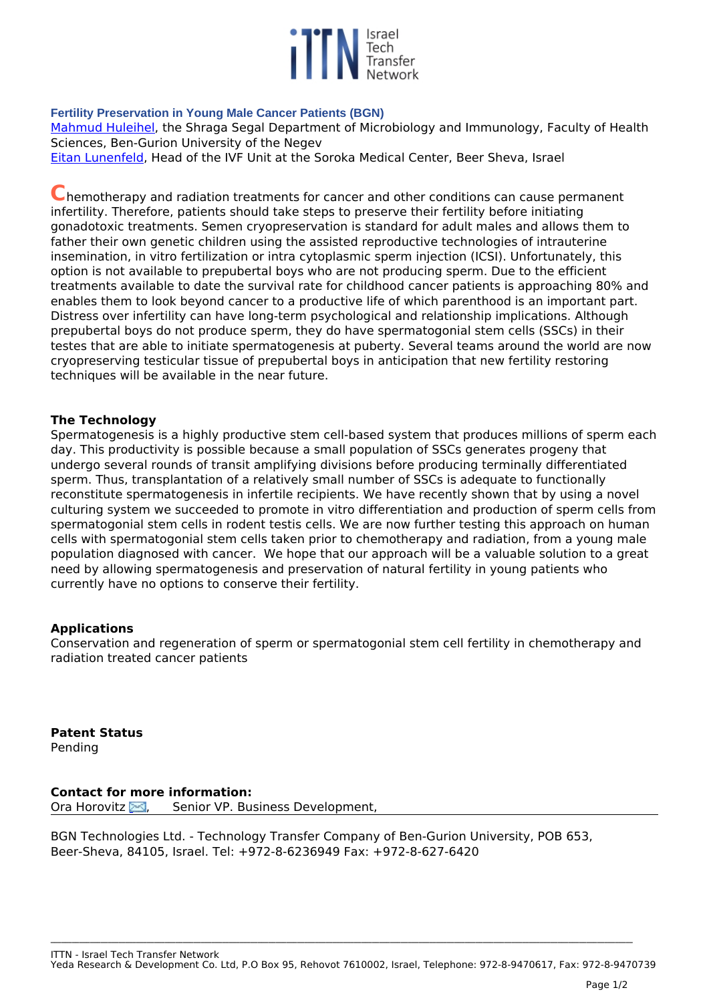

## **Fertility Preservation in Young Male Cancer Patients (BGN)**

*[Mahmud Huleihel](http://profiler.bgu.ac.il/frontoffice/ShowUser.aspx?id=1035&name=Huleihel  %20Mahmoud), the Shraga Segal Department of Microbiology and Immunology, Faculty of Health Sciences, Ben-Gurion University of the Negev*

*[Eitan Lunenfeld,](http://profiler.bgu.ac.il/frontoffice/ShowUser.aspx?id=230&name=Lunenfeld%20Eitan) Head of the IVF Unit at the Soroka Medical Center, Beer Sheva, Israel* 

**C***hemotherapy and radiation treatments for cancer and other conditions can cause permanent infertility. Therefore, patients should take steps to preserve their fertility before initiating gonadotoxic treatments. Semen cryopreservation is standard for adult males and allows them to father their own genetic children using the assisted reproductive technologies of intrauterine insemination, in vitro fertilization or intra cytoplasmic sperm injection (ICSI). Unfortunately, this option is not available to prepubertal boys who are not producing sperm. Due to the efficient treatments available to date the survival rate for childhood cancer patients is approaching 80% and enables them to look beyond cancer to a productive life of which parenthood is an important part. Distress over infertility can have long-term psychological and relationship implications. Although prepubertal boys do not produce sperm, they do have spermatogonial stem cells (SSCs) in their testes that are able to initiate spermatogenesis at puberty. Several teams around the world are now cryopreserving testicular tissue of prepubertal boys in anticipation that new fertility restoring techniques will be available in the near future.* 

## **The Technology**

*Spermatogenesis is a highly productive stem cell-based system that produces millions of sperm each day. This productivity is possible because a small population of SSCs generates progeny that undergo several rounds of transit amplifying divisions before producing terminally differentiated sperm. Thus, transplantation of a relatively small number of SSCs is adequate to functionally reconstitute spermatogenesis in infertile recipients. We have recently shown that by using a novel culturing system we succeeded to promote in vitro differentiation and production of sperm cells from spermatogonial stem cells in rodent testis cells. We are now further testing this approach on human cells with spermatogonial stem cells taken prior to chemotherapy and radiation, from a young male population diagnosed with cancer. We hope that our approach will be a valuable solution to a great need by allowing spermatogenesis and preservation of natural fertility in young patients who currently have no options to conserve their fertility.*

## **Applications**

*Conservation and regeneration of sperm or spermatogonial stem cell fertility in chemotherapy and radiation treated cancer patients* 

**Patent Status** *Pending*

**Contact for more information:** *Ora Horovitz [,](http://www.ittn.org.il/technology.php?tech_id=62485&act=contact_page) Senior VP. Business Development,* 

*BGN Technologies Ltd. - Technology Transfer Company of Ben-Gurion University, POB 653, Beer-Sheva, 84105, Israel. Tel: +972-8-6236949 Fax: +972-8-627-6420*

**\_\_\_\_\_\_\_\_\_\_\_\_\_\_\_\_\_\_\_\_\_\_\_\_\_\_\_\_\_\_\_\_\_\_\_\_\_\_\_\_\_\_\_\_\_\_\_\_\_\_\_\_\_\_\_\_\_\_\_\_\_\_\_\_\_\_\_\_\_\_\_\_\_\_\_\_\_\_\_\_\_\_\_\_\_\_\_\_\_\_\_\_\_\_\_\_\_\_\_\_\_\_\_\_\_\_\_\_\_\_\_\_\_\_\_\_\_\_\_\_\_\_\_\_\_\_\_\_\_\_\_\_\_\_\_\_\_\_\_\_\_\_\_\_\_\_\_\_\_\_\_\_\_\_\_\_\_\_\_\_\_\_\_**